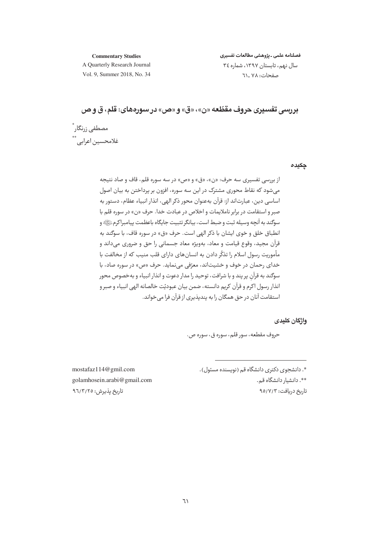#### **Commentary Studies**

فصلنامه علمى ـ يژوهشى مطالعات تفسيرى سال نهم، تابستان ١٣٩٧، شماره ٣٤ صفحات: ٧٨ - ٦١

A Quarterly Research Journal Vol. 9, Summer 2018, No. 34

# بررسي تفسيري حروف مقطّعه «ن»، «ق» و «ص» در سورەهاي: قلم، ق و ص

مصطفى زرنگار ٌ غلامحسين اعرابي.\*\*

حكىده

از بررسی تفسیری سه حرف: «ن»، «ق» و «ص» در سه سوره قلم، قاف و صاد نتیجه می شود که نقاط محوری مشترک در این سه سوره، افزون بر پرداختن به بیان اصول اساسي دين، عبارتاند از: قرآن بهعنوان محور ذكر الهي، انذار انبياء عظام، دستور به صبر و استقامت در برابر ناملایمات و اخلاص در عبادت خدا. حرف «ن» در سوره قلم با سوگند به آنچه وسیله ثبت و ضبط است، بیانگر تثبیت جایگاه باعظمت پیامبراکرمﷺ» و انطباق خلق و خوي ايشان با ذكر الهي است. حرف «ق» در سوره قاف، با سو*گ*ند به قرآن مجيد، وقوع قيامت و معاد، بهويژه معاد جسماني را حق و ضروري مي داند و مأموريت رسول اسلام را تذكَّر دادن به انسان هاي داراي قلب منيب كه از مخالفت با خدای رحمان در خوف و خشیتاند، معرّفی می نماید. حرف «ص» در سوره صاد، با سوگند به قرآن پر پند و با شرافت، توحید را مدار دعوت و انذار انبیاء و بهخصوص محور انذار رسول اکرم و قرآن کريم دانسته، ضمن بيان عبوديّت خالصانه الهي انبياء و صبر و استقامت آنان در حق همگان را به بندیذیری از قرآن فرا مے خواند.

واژگان کلیدی

حروف مقطعه، سور قلم، سوره ق، سوره ص.

mostafaz114@gmil.com golamhosein.arabi@gmail.com تاریخ پذیرش: ۹٦/٣/٢٥

\*. دانشجوی دکتری دانشگاه قم (نویسنده مسئول). \*\*. دانشيار دانشگاه قم.

تاریخ دریافت: ۹۵/۷/۳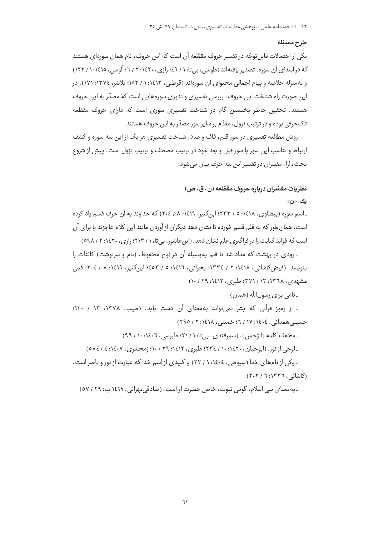#### طرح مسئله

یکی از احتمالات قابل توجّه در تفسیر حروف مقطّعه آن است که این حروف، نام همان سورهای هستند که در ابتدای آن سوره، تصدیر یافتهاند (طوسی، بیتا: ۱ / ٤٩؛ رازی، ١٤٢٠: ٢ / ٦؛ آلوسی، ١٤١٥: ١ / ١٢٢) و به منزله خلاصه و پیام اجمالی محتوای آن سورهاند (قرطبی، ۱۶۱۳: ۱ / ۱۵۲؛ بلاشر، ۱۳۷٤: ۱۷۱)، در این صورت راه شناخت این حروف، بررسی تفسیری و تدبری سورههایی است که مصدّر به این حروف هستند. تحقیق حاضر نخستین گام در شناخت تفسیری سوری است که دارای حروف مقطّعه تک حرفی بوده و در ترتیب نزول، مقدّم بر سایر سور مصدّر به این حروف هستند.

روش مطالعه تفسیری در سور قلم، قاف و صاد، شناخت تفسیری هر یک از این سه سوره و کشف ارتباط و تناسب اين سور با سور قبل و بعد خود در ترتيب مصحف و ترتيب نزول است. پيش از شروع بحث، آراء مفسران در تفسیر این سه جرف پیان می شود:

#### نظريات مفسّران درباره حروف مقطّعه (ن، ق، ص)

ىک. «ن»

ـ اسم سوره (بیضاوی، ۱٤١٨: ٥ / ٢٣٣؛ ابن کثیر، ١٤١٩: ٨ / ٢٠٤) که خداوند به آن حرف قسم ياد کرده است، همان طور که به قلم قسم خورده تا نشان دهد دیگران از آوردن مانند این کلام عاجزند یا برای آن است که فواید کتابت را در فراگیری علم نشان دهد. (این عاشور، بی تا، ۱ / ۲۱۳؛ رازی، ۱٤۲۰: ۳ / ٥٩٨)

ـ رودي در بهشت كه مداد شد تا قلم بهوسيله آن در لوح محفوظ، (نام و سرنوشت) كائنات را بنويسد. (فيض2اشاني، ١٤١٨: ٢ / ١٣٣٤؛ بحراني، ١٤١٦: ٥ / ٤٥٣؛ ابن كثير، ١٤١٩: ٨ / ٢٠٤؛ قمي مشهدی، ۱۳٦۸: ۱۳ / ۳۷۱؛ طبری، ۱٤۱۲: ۲۹ / ۱۰)

۔نامی برای رسولِالله (همان)

- از رموز قرآنی که بشر نمیتواند بهمعنای آن دست یابد. (طیب، ۱۳۷۸: ۱۳ / ۱۲۰؛ حسینی همدانی، ١٤٠٤: ١٧ / ٦؛ خمینی، ١٤١٨: ٢ / ٢٩٥)

\_مخفف كلمه «الرّحمن». (سمرقندي، بي تا: ١ / ٢١؛ طبرسي، ١٤٠٦: ١٠ / ٩٩)

ـلوحي از نور. (ابوحيان، ١٤٢٠: ١٠/ ٢٣٤؛ طبري، ١٤١٢: ٢٩ / ١٠؛ زمخشري، ١٤٠٧: ٤ / ٥٨٤)

ـ یکی از نامهای خدا (سپوطی، ١٤٠٤: ١ / ٢٢) یا کلیدی از اسم خدا که عبارت از نور و ناصر است. (کاشانی، ١٣٣٦: ٢٠٢)

۔بەمعنای نبی اسلام، گوپی نبوت، خاص حضرت او است. (صادقی تھرانی، ۱۶۱۹ ب: ۲۹ / ۵۷)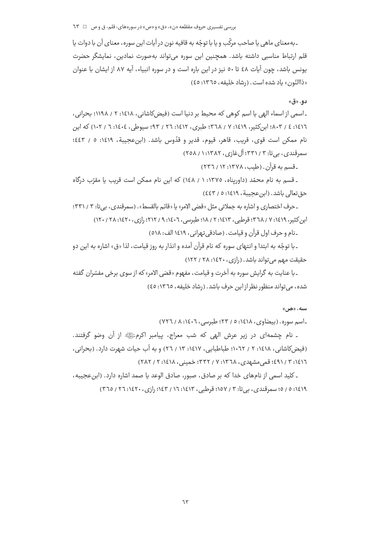۔به معنای ماهی یا صاحب مرکّب و یا با توجّه به قافیه نون در آیات این سوره، معنای آن با دوات یا قلم ارتباط مناسبی داشته باشد. همچنین این سوره میتواند بهصورت نمادین، نمایشگر حضرت یونس باشد، چون آیات ٤٨ تا ٥٠ نیز در این باره است و در سوره انبیاء، آیه ٨٧ از ایشان با عنوان «ذاالنّون» باد شده است. (رشاد خليفه، ١٣٦٥: ٤٥)

دو. «ق»

ـ اسمی از اسماء الهی یا اسم کوهی که محیط بر دنیا است (فیض کاشانی، ۱۶۱۸: ۲ / ۱۱۹۸؛ بحرانی، ١٤١٦: ٤ / ٨٠٣؛ ابن كثير، ١٤١٩: ٧ / ٣٦٨، طبري، ١٤١٢: ٢٦ / ٩٣؛ سيوطي، ١٠٤٠٤: ٦ / ١٠٢) كه اين نام ممكن است قوى، قريب، قاهر، قيوم، قدير و قدّوس باشد. (ابن عجيبة، ١٤١٩: ٥ / ٤٤٣؛ سمرقندي، په تا: ۳۳۱/ ۳۳۱؛ آل غازي، ۱۳۸۲: ۱/ ۲۵۸)

ـ قسم به قرآن . (طیب، ۱۳۷۸: ۱۲ / ۲۳٦)

ـ قسم به نام محمّد (داوریناه، ١٣٧٥: ١ / ١٤٨) که این نام ممکن است قریب یا مقرّب درگاه حق تعالى باشد. (ابن عجيبة، ١٤١٩: ٥ / ٤٤٣)

ـ حرف اختصاري و اشاره به جملاتي مثل «قضي الامر» يا «قائم بالقسط». (سمرقندي، بيتا: ٣ / ٣٣١): ان کثیر، ۶۱۶۱۹ / ۳٦٨ قوطیر، ۶۱۶۱۳؛ ۲ / ۱۸؛ طیریسر، ۶۰۰۶۱۲ / ۶۱۲؛ دادی، ۲۶۰/۰۲۸ / ۲۰/۱۲۰)

ـ نام و حرف اول قرآن و قيامت. (صادقي تهراني، ١٤١٩ الف: ٥١٨)

ـ با توجّه به ابتدا و انتهای سوره که نام قرآن آمده و انذار به روز قیامت، لذا «ق» اشاره به این دو حقیقت مهم می تواند باشد. (رازی، ۱٤٢٠: ٢٨ / ١٢٢)

ـ با عنايت به گرايش سوره به آخرت و قيامت، مفهوم «قضى الامر» كه از سوى برخى مفسّران گفته شده، می تواند منظور نظر از این حرف باشد. (رشاد خلیفه، ١٣٦٥: ٤٥)

 $\mathfrak{m}$ سيه.  $\mathfrak{m}$ 

ـ اسم سوره. (بيضاوى، ١٤١٨: ٥ / ٢٣؛ طبرسي، ١٤٠٦: ٨ / ٧٢٦)

۔ نام چشمهای در زیر عرش الھی که شب معراج، پیامبر اکرمﷺ از آن وضو گرفتند. (فیض کاشانی، ۱٤١٨: ۲ / ۰۱۰٦۲؛ طباطبایی، ۱٤١٧: ۱۳ / ۲٦) و به آب حیات شهرت دارد. (بحرانی، ١٤١٦: ٣ / ٤٩١؛ قمي مشهدي، ١٣٦٨: ٧ / ٣٣٢؛ خميني، ١٤١٨/ ٢٨٢ / ٢٨٢)

ـ كليد اسمى از نامهاى خدا كه بر صادق، صبور، صادق الوعد يا صمد اشاره دارد. (ابن عجيبه، ١٤١٩: ٥ / ٥؛ سمرقندي، بي تا: ٣ / ١٥٧؛ قرطبي، ١٤١٣: ١/ ١٤٣؛ رازي، ١٤٢٠: ٢٦ / ٣٦٥)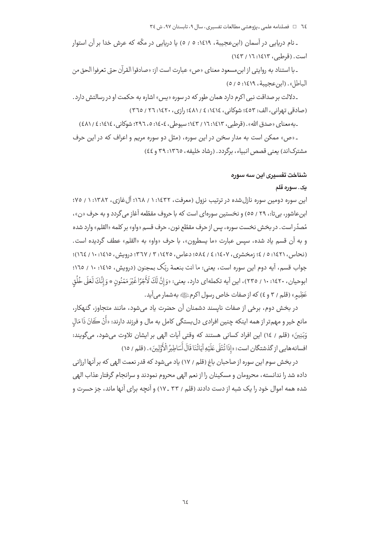ـ نام دریایی در آسمان (ابنِ عجیبة، ١٤١٩: ٥ / ٥) یا دریایی در مکّه که عرش خدا بر آن استوار است. (قرطبی، ۱٤١٣: ١٤٦ / ١٤٣)

ـ با استناد به روايتي از ابن،مسعود معناي «ص» عبارت است از: «صادقوا القرآن حتى تعرفوا الحق من الباطل». (ابن عجيبة، ١٤١٩: ٥/ ٥)

۔دلالت بر صداقت نبی اکرم دارد همان طور که در سوره «پس» اشاره به حکمت او در رسالتش دارد. (صادقی تبوانی، الف: ٤٥٣؛ شوکانی، ١٤١٤: ٤ / ٤٨١؛ رازی، ٢٦٠: ٢٦ / ٣٦٥)

ـ به معناي «صدق الله». (قرطبي، ١٤١٣: ١٤٦ / ١٤٣؛ سيوطي، ١٤٠٤: ٥، ٢٩٦: شوكاني، ١٤١٤: ٤ / ٤٨١)

۔ «ص» ممکن است به مدار سخن در این سوره، (مثل دو سوره مربم و اعراف که در این حرف مشترکاند) یعنی قصص انبیاء، برگردد. (رشاد خلیفه، ١٣٦٥: ٣٩ و ٤٤)

#### شناخت تفسیری این سه سوره

#### پک . سوره قلم

این سوره دومین سوره نازل شده در ترتیب نزول (معرفت، ۱۶۳۲: ۱ / ۱۰۲۸؛ آل غازی، ۱۳۸۲: ۱ / ۷۵؛ ابن عاشور، بي تا:، ٢٩ / ٥٥) و نخستين سورهاي است كه با حروف مقطّعه آغاز مي گردد و به حرف «ن»، مُصدِّر است. در بخش نخست سوره، پس از حرف مقطّع نون، حرف قسم «واو» بر كلمه «القلم» وارد شده و به آن قسم یاد شده، سپس عبارت «ما یسطرون»، با حرف «واو» به «القلم» عطف گردیده است. (نحاس، ١٤٢١: ٥ / ٤؛ زمخشري، ١٤٠٧: ٤ / ٥٨٤: دعاس، ١٤٢٥: ٣ / ٣٦٧؛ درويش، ١٤١٥: ١٠ / ١٦٤)؛ جواب قسم، آيه دوم اين سوره است، يعني: ما انت بنعمة ربِّک بمجنون (درويش، ١٤١٥: ١٠ / ١٦٥؛ ابوحيان، ١٤٢٠: ١٠ / ٢٣٥)، اين آيه تكملهاي دارد، يعني: «وَ إِنَّ لَكَ لَأَجْرًا غَيْرَ مَمْنُون \* وَ إنَّكَ لَعَلَى خُلُق عَظِيمِ» (قلم / ٣ و ٤) كه از صفات خاص رسول اكرمﷺ به شمار مي آيد.

در بخش دوم، برخی از صفات نایسند دشمنان آن حضرت یاد می شود، مانند متجاوز، گنهکار، مانع خير و مهم¤ر از همه اينكه چنين افرادى دلبستگى كامل به مال و فرزند دارند: «أَنْ كَانَ ذَا مَالِ وَبَنِينَ» (قلم / ١٤) این افراد کسانی هستند که وقتی آیات الهی بر ایشان تلاوت میشود، میگویند: افسانه هایی از گذشتگان است: «إذَا تُتْلَى عَلَيْهِ آيَاتُنَا قَالَ أَسَاطِيرُ الْأَوَّلِينَ» . (قلم / ١٥)

در بخش سوم این سوره از صاحبان باغ (قلم / ١٧) یاد میشود که قدر نعمت الهی که بر آنها ارزانی داده شد را ندانسته، محرومان و مسکینان را از نعم الهی محروم نمودند و سرانجام گرفتار عذاب الهی شده همه اموال خود را یک شبه از دست دادند (قلم / ٣٣ ـ ١٧) و آنچه برای آنها ماند، جز حسرت و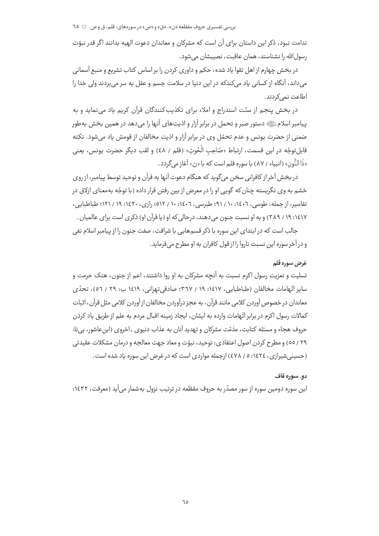ندامت نبود، ذکر این داستان برای آن است که مشرکان و معاندان دعوت الهیه بدانند اگر قدر نبوّت رسول الله را نشناسند، همان عاقبت، نصیبشان می شود.

در بخش چهارم از اهل تقوا یاد شده، حکم و داوری کردن را بر اساس کتاب تشریع و منبع آسمانی می داند، آنگاه از کسانی یاد میکندکه در این دنیا در سلامت جسم و عقل به سر می بردند ولی خدا را اطاعت نمے کردند.

در بخش پنجم از سنّت استدراج و املاء برای تکذیب کنندگان قرآن کریم یاد می نماید و به پیامبر اسلامﷺ دستور صبر و تحمل در برابر آزار و اذیتهای آنها را می دهد در همین بخش بهطور ضمنی از حضرت یونس و عدم تحمّل وی در برابر آزار و اذیت مخالفان از قومش یاد می شود. نکته قابلِ توجّه در اين قسمت، ارتباط «صَاحِبِ الْحُوت» (قلم / ٤٨) و لقب ديگر حضرت يونس، يعني «ذَا النُّون» (انبياء / ٨٧) با سوره قلم است كه با «ن» آغاز مي گردد .

در بخش آخر از کافرانی سخن می گوید که هنگام دعوت آنها به قرآن و توحید توسط پیامبر، از روی خشم به وي نگريسته چنان كه گويي او را در معرض از بين رفتن قرار داده (با توجّه بهمعناي ازلاق در تفاسیر، از جمله: طوسی، ۱۶۰۶: ۱۰ / ۹۱؛ طبرسی، ۱۶۰۲: ۱۰ / ۵۱۲؛ رازی، ۱۶۲۰: ۱۹ / ۱۲۱؛ طباطبایی، ۱٤١٧: ١٩ / ٣٨٩ ) و به او نسبت جنون مے دهند، درحالی که او (یا قرآن او) ذکری است برای عالمیان .

جالب است که در ابتدای این سوره با ذکر قسمهایی با شرافت، صفت جنون را از پیامبر اسلام نفی و در آخر سوره اين نسبت ناروا را از قول كافران به او مطرح مي فرمايد.

#### غرض سوره قلم

تسلیت و تعزیت رسول اکرم نسبت به آنچه مشرکان به او روا داشتند، اعم از جنون، هتک حرمت و سایر اتّعامات مخالفان (طباطبایی، ۱٤١٧: ١٩ / ٣٦٧؛ صادقی تهرانی، ١٤١٩ ب: ٢٩ / ٥٦)، تحدّی معاندان در خصوص آوردن کلامی مانند قرآن، به عجز درآوردن مخالفان از آوردن کلامی مثل قرآن، اثبات كمالات رسول اكرم در برابر اتّهامات وارده به ايشان، ايجاد زمينه اقبال مردم به علم از طريق ياد كردن حروف هجاء و مسئله کتابت، مذمّت مشرکان و تهدید آنان به عذاب دنیوی ۔اخروی (ابنِ عاشور، بی تا: ٢٩ / ٥٥) و مطرح كردن اصول اعتقادي: توحيد، نبوّت و معاد جهت معالجه و درمان مشكلات عقيدتي (حسینی شیرازی ، ١٤٢٤: ٥ / ٤٧٨) ازجمله مواردی است که در غرض این سوره یاد شده است .

#### دو. سوره قاف

این سوره دومین سوره از سور مصدّر به حروف مقطّعه در ترتیب نزول بهشمار میآید (معرفت، ۱۶۳۲: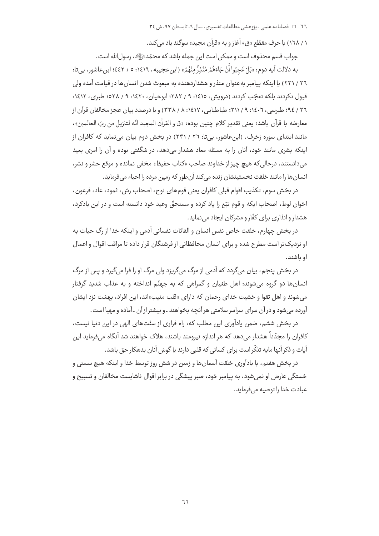۱ / ۱٦۸) با حرف مقطّع «ق» آغاز و به «قرآن محید» سوگند یاد مے کند.

جواب قسم محذوف است و ممكن است اين جمله باشد كه محمّدﷺ، رسول الله است .

به دلالت آيه دوم: «بَلْ عَجِبُوا أَنْ جَاءَهُمْ مُنْذِرٌ مِنْهُمْ» (ابن عجيبه، ١٤١٩: ٥ / ٤٤٣؛ ابن عاشور، بي تا: ٢٦ / ٢٣١) يا اينكه پيامبر بهعنوان منذر و هشداردهنده به مبعوث شدن انسانها در قيامت آمده ولي قبول نكردند بلكه تعجّب كردند (درويش، ١٤١٥: ٩ / ٢٨٢؛ ابوحيان، ١٤٢٠: ٩ / ٥٢٨؛ طبري، ١٤١٢: ٢٦ / ٩٤؛ طبرسي، ٦٠٤٠٦: ٩ / ٢١١؛ طباطبايي، ١٤١٧: ٨ / ٣٣٨) و يا درصدد بيان عجز مخالفان قرآن از معارضه با قرآن باشد؛ يعني تقدير كلام چنين بوده: «ق و القرآن المجيد انّه لتنزيل من ربّ العالمين»، مانند ابتدای سوره زخرف. (ابن عاشور، بیتا: ۲٦ / ۲۳۱) در بخش دوم بیان مینماید که کافران از اینکه بشری مانند خود، آنان را به مسئله معاد هشدار می دهد، در شگفتی بوده و آن را امری بعید مي دانستند، درحالي كه هيچ چيز از خداوند صاحب «كتاب حفيظ» مخفي نمانده و موقع حشر و نشر، انسان ها را مانند خلقت نخستينشان زنده مى كند آن طور كه زمين مرده را احياء مى فرمايد.

در بخش سوم، تكذيب اقوام قبلي كافران يعني قومهاي نوح، اصحاب رسّ، ثمود، عاد، فرعون، اخوان لوط، اصحاب ايكه و قوم تبّع را ياد كرده و مستحقّ وعيد خود دانسته است و در اين يادكرد، هشدار و انذاری برای کفّار و مشرکان ایجاد می نماید.

در بخش چهارم، خلقت خاص نفس انسان و القائات نفسانی آدمی و اینکه خدا از رگ حیات به او نزدیک تر است مطرح شده و برای انسان محافظانی از فرشتگان قرار داده تا مراقب اقوال و اعمال او باشند.

در بخش پنجم، بیان میگردد که آدمی از مرگ میگریزد ولی مرگ او را فرا میگیرد و پس از مرگ انسانها دو گروه می شوند: اهل طغیان و گمراهی که به جهنّم انداخته و به عذاب شدید گرفتار می شوند و اهل تقوا و خشیت خدای رحمان که دارای «قلب منیب»اند، این افراد، بهشت نزد ایشان آورده می شود و در آن سرای سراسر سلامتی هر آنچه بخواهند ـو بیشتر از آن ـ آماده و مهیا است .

در بخش ششم، ضمن یادآوری این مطلب که: راه فراری از سنّتهای الهی در این دنیا نیست، کافران را مجدّداً هشدار می دهد که هر اندازه نیرومند باشند، هلاک خواهند شد آنگاه می فرماید این آیات و ذکر آنـها مایه تذکّر است برای کسانی که قلبی دارند یا گوش آنان بدهکار حق باشد.

در بخش هفتم، با یادآوری خلقت آسمانها و زمین در شش روز توسط خدا و اینکه هیچ سستی و خستگی عارض او نمی شود، به پیامبر خود، صبر پیشگی در برابر اقوال ناشایست مخالفان و تسبیح و عبادت خدا را توصیه می فرماید.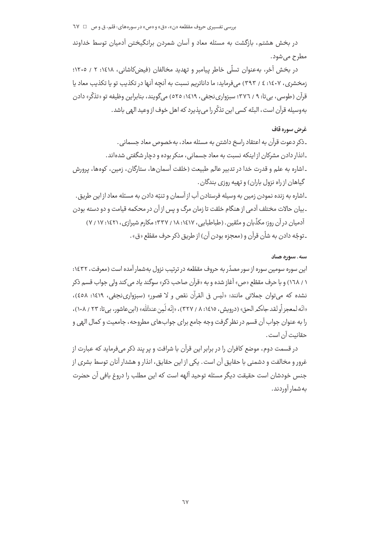در بخش هشتم، بازگشت به مسئله معاد و آسان شمردن برانگیختن آدمیان توسط خداوند مطرح م*ی*شود.

در بخش آخر، بهعنوان تسلَّى خاطر پیامبر و تهدید مخالفان (فیض کاشانی، ۱۶۱۸: ۲ / ۱۲۰۵؛ زمخشري، ١٤٠٧: ٤ / ٣٩٣) مي فرمايد: ما داناتريم نسبت به آنچه آنها در تكذيب تو يا تكذيب معاد يا قرآن (طوسی، بے تا: ۹ / ۳۷٦؛ سبزواری نجفی، ۱٤١٩: ٥٢٥) می گویند، بنابراین وظیفه تو «تذکّر» دادن بهوسيله قرآن است، البتّه كسي ابن تذكّر را مي يذيرد كه اهل خوف از وعيد الهي باشد.

## غرض سوره قاف

۔ذکر دعوت قرآن به اعتقاد راسخ داشتن به مسئله معاد، بهخصوص معاد جسمانی . ـانذار دادن مشرکان از اینکه نسبت به معاد جسمانی، منکر بوده و دچار شگفتی شدهاند. ـ اشاره به علم و قدرت خدا در تدبیر عالم طبیعت (خلقت آسمانها، ستارگان، زمین، کوهها، پرورش گیاهان از راه نزول باران) و تهیه روزی بندگان .

ـاشاره به زنده نمودن زمین به وسیله فرستادن آب از آسمان و تنبّه دادن به مسئله معاد از این طریق . ـ بیان حالات مختلف آدمی از هنگام خلقت تا زمان مرگ و پس از آن در محکمه قیامت و دو دسته بودن آدمیان در آن روز: مکذّبان و متّقین. (طباطبایی، ۱۶۱۷، ۱۸، ۳۳۷؛ مکارم شیرازی، ۱۶۲۱، ۱۷ / ۷) ـ توجّه دادن به شأن قرآن و (معجزه بودن آن) از طريق ذكر حرف مقطّع «ق».

#### سه. سوره صاد

این سوره سومین سوره از سور مصدّر به حروف مقطّعه در ترتیب نزول بهشمار آمده است (معرفت، ۱٤٣٢: ۱ / ۱٦۸) و با حرف مقطّع «ص» آغاز شده و به «قرآن صاحب ذکر» سوگند یاد می کند ولی جواب قسم ذکر نشده که می توان جملاتی مانند: «لیس فی القرآن نقص و لا قصور» (سبزوارینجفی، ۱۶۱۹: ٤٥٨)، «انّه لمعجز أو لقد جاءكمر الحق» (درويش، ١٤١٥: ٨ / ٣٢٧)، «إنّه لَمن عندللله» (ابن عاشور، بي تا: ٢٣ / ١٠٨)، را به عنوان جواب آن قسم در نظر گرفت وجه جامع براي جواب هاي مطروحه ، جامعيت و كمال الهي و حقانيت آن است .

در قسمت دوم، موضع کافران را در برابر این قرآن با شرافت و پر پند ذکر میفرماید که عبارت از غرور و مخالفت و دشمنی با حقایق آن است. یکی از این حقایق، انذار و هشدار آنان توسط بشری از جنس خودشان است حقیقت دیگر مسئله توحید آلهه است که این مطلب را دروغ بافی آن حضرت پەشمار آوردند.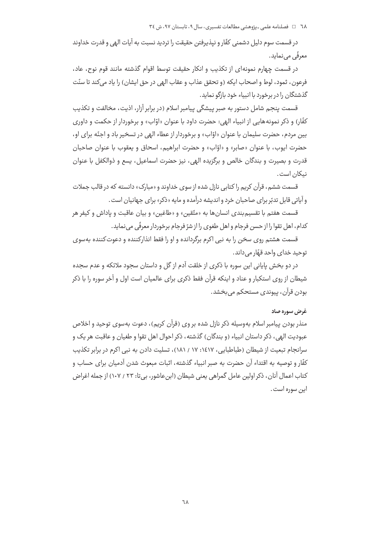٦٨٪ □ فصلنامه علمي ـ پژوهشي مطالعات تفسيري، سال ٩، تابستان ٩٧، ش ٣٤

در قسمت سوم دلیل دشمنی کفّار و نیذیرفتن حقیقت را تردید نسبت به آیات الهی و قدرت خداوند معرفّی می نماید.

در قسمت چهارم نمونهای از تکذیب و انکار حقیقت توسط اقوام گذشته مانند قوم نوح، عاد، فرعون، ثمود، لوط و اصحاب ايكه (و تحقق عذاب و عقاب الهي در حق ايشان) را ياد مي كند تا سنّت گذشتگان را در پرخورد با انبیاء خود بازگو نماید.

قسمت پنجم شامل دستور به صبر پیشگی پیامبر اسلام (در برابر آزار، اذیت، مخالفت و تکذیب کفّار) و ذکر نمونههایی از انبیاء الهی: حضرت داود با عنوان «اوّاب» و برخوردار از حکمت و داوری بین مردم، حضرت سلیمان با عنوان «اوّاب» و برخوردار از عطاء الهی در تسخیر باد و اجنّه برای او، حضرت ايوب، با عنوان «صابر» و «اوّاب» و حضرت ابراهيم، اسحاق و يعقوب با عنوان صاحبان قدرت و بصيرت و بندگان خالص و برگزيده الهي، نيز حضرت اسماعيل، پسع و ذوالكفل با عنوان نيكان است.

قسمت ششم، قرآن کریم را کتابی نازل شده از سوی خداوند و «مبارک» دانسته که در قالب جملات و آیاتی قابل تدبّر برای صاحبان خرد و اندیشه درآمده و مایه «ذکر» برای جهانیان است .

قسمت هفتم با تقسیم *بندی* انسانها به «متّقین» و «طاغین» و بیان عاقبت و یاداش و کیفر هر كدام، اهل تقوا را از حسن فرجام و اهل طغوي را از شرّ فرجام برخوردار معرفّى مى نمايد.

قسمت هشتم روی سخن را به نبی اکرم برگردانده و او را فقط انذارکننده و دعوتکننده بهسوی توحيد خداي واحد قهّار مي داند.

در دو بخش پایانی این سوره با ذکری از خلقت آدم از گل و داستان سجود ملائکه و عدم سجده شیطان از روی استکبار و عناد و اینکه قرآن فقط ذکری برای عالمیان است اول و آخر سوره را با ذکر بودن قرآن، پیوندی مستحکم می بخشد.

#### غرض سوره صاد

منذر بودن پیامبر اسلام بهوسیله ذکر نازل شده بر وی (قرآن کریم)، دعوت بهسوی توحید و اخلاص عبوديت الهي، ذكر داستان انبياء (و بندگان) گذشته، ذكر احوال اهل تقوا و طغيان و عاقبت هر يک و سرانجام تبعیت از شیطان (طباطبایی، ۱٤١٧: ١٧ / ١٨١)، تسلیت دادن به نبی اکرم در برابر تکذیب كفَّار و توصيه به اقتداء آن حضرت به صبر انبياء گذشته، اثبات مبعوث شدن آدميان براي حساب و کتاب اعمال آنان، ذکر اولین عامل گمراهی یعنی شیطان (ابنعاشور، بی تا: ۲۳ / ۱۰۷) از جمله اغراض ابن سوره است .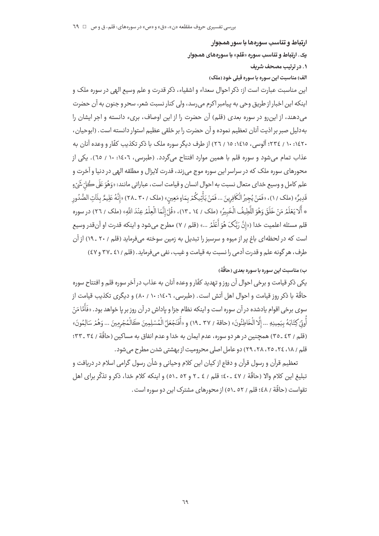١. در ترتيب مصحف شريف الف) مناسبت این سوره با سوره قبلی خود (ملک) این مناسبت عبارت است از: ذکر احوال سعداء و اشقیاء، ذکر قدرت و علم وسیع الهی در سوره ملک و اينكه اين اخبار از طريق وحي به پيامبر اكرم مي رسد، ولي كنار نسبت شعر، سحر و جنون به آن حضرت .<br>می دهند، از این رو در سوره بعدی (قلم) آن حضرت را از این اوصاف، بریء دانسته و اجر ایشان را به دليل صبر بر اذيت آنان تعظيم نموده و آن حضرت را بر خلقي عظيم استوار دانسته است. (ابوحيان، ۱۶۲۰ : ۲۷ ؛ آلوسی، ۱٤۱٥: ۱٥ / ۲۲ ) از طرف دیگر سوره ملک یا ذکر تکذیب کفّار و وعده آنان به عذاب تمام می شود و سوره قلم با همین موارد افتتاح می گردد. (طبرسی، ۱۶۰۲: ۱۰ / ٦٥). یکی از .<br>محورهای سوره ملک که در سراسر این سوره موج می;ند، قدرت لایزال و مطلقه الهی در دنیا و آخرت و علم کامل و وسيع خداي متعال نسبت به احوال انسان و قيامت است، عباراتي مانند: «وَهُوَ عَلَى ڪُلّ شَيْءِ قَدِيرٌ» (ملک / ١)، «فَمَنْ يُجِيرُ الْكَافِرِينَ ... فَمَنْ يَأْتِيكُمْ بِمَاءٍ مَعِين» (ملک / ٣٠ \_٢٨) «إنَّهُ عَلِيمٌ بِذَات الصُّدُور \* أَلَا يَعْلَمُ مَنْ خَلَقَ وَهُوَ اللَّطِيفُ الْخَبِيرُ» (ملك / ١٤ ـ ١٣)، «قُلْ إِنَّمَا الْعِلْمُ عِنْدَ اللّهِ» (ملك / ٢٦) در سوره قلم مسئله اعلمیت خدا («إنَّ رَبَّكَ هُوَ أَعْلَمُ ...» (قلم / ٧) مطرح میشود و اینکه قدرت او آنقدر وسیع است که در لحظه|ی باغ پر از میوه و سرسبز را تبدیل به زمین سوخته می فرماید (قلم / ۲۰ ـ ۱۹) از آن طرف، هر گونه علم و قدرت آدمی را نسبت به قیامت و غیب، نفی می فرماید. (قلم / ٤١ ـ ٣٧ و ٤٧)

# ب) مناسبت این سوره با سوره بعدی (حاقّة)

ارتباط و تناسب سورهها با سور همجوار

یک. ارتباط و تناسب سوره «قلم» با سورمهای همچوار

يکي ذکر قيامت و برخي احوال آن روز و تهديد کفّار و وعده آنان به عذاب در آخر سوره قلم و افتتاح سوره حاقّة با ذكر روز قيامت و احوال اهل آتش است. (طبرسی، ١٤٠٦: ١٠ / ٨٠) و ديگرى تكذيب قيامت از سوی برخی اقوام یادشده در آن سوره است و اینکه نظام جزا و یاداش در آن روز بر یا خواهد بود. «فَأَمَّا مَنْ أُوتِي كِتَابَهُ بِيَمِينِهِ ... إِلَّا الْخَاطِئُونَ» (حاقة / ٣٧ ـ ١٩) و «أَفَنَجْعَلُ الْمُسْلِمِينَ كَالْمُجْرمِينَ ... وَهُمْ سَالِمُونَ» (قلم / ٤٣ ـ ٣٥) همچنين در هر دو سوره، عدم ايمان به خدا و عدم انفاق به مساكين (حاقّة / ٣٤ ـ ٣٣: قلم / ١٨، ٢٤، ٢٥، ٢٨، ٢٩) دو عامل اصلي محروميت از بهشتي شدن مطرح مي شود.

تعظیم قرآن و رسول قرآن و دفاع از کیان این کلام وحیانی و شأن رسول گرامی اسلام در دریافت و تبليغ ابن كلام والا (حاقَّة / ٤٧ ـ ٤٠؛ قلم / ٤ ـ ٢ و ٥٢ ـ ٥١) و اينكه كلام خدا، ذكر و تذكَّر براي اهل تقواست (حاقَّة / ٤٨؛ قلم / ٥٢ \_٥١) از محورهاي مشترک اين دو سوره است .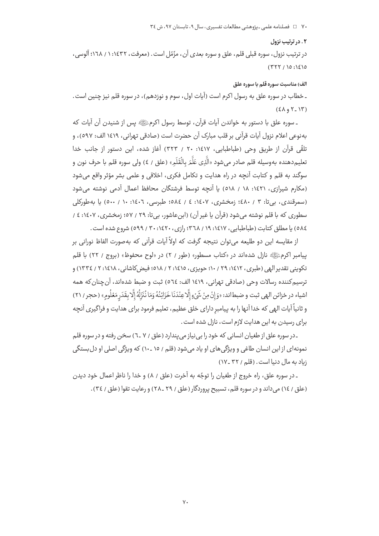۷۰ = د فصلنامه علمی ـ یژوهشی مطالعات تفسیری، سال ۹، تابستان ۹۷، ش ۳٤

#### ۰۲ در ترتیب نزول

در ترتيب نزول، سوره قبلي قلم، علق و سوره بعدي آن، مزّمّل است. (معرفت، ١٤٣٢: ١ / ١٦٨؛ آلوسي،  $(TYY/10:12)0$ 

الف) مناسبت سوره قلم با سوره علق

ـ خطاب در سوره علق به رسول اکرم است (آيات اول، سوم و نوزدهم)، در سوره قلم نيز چنين است.  $(5\lambda_9 Y_1)Y$ 

ـ سوره علق با دستور به خواندن آيات قرآن، توسط رسول اكرمﷺ پس از شنيدن آن آيات كه به نوعي اعلام نزول آيات قرآني بر قلب مبارک آن حضرت است (صادقي تهراني، ١٤١٩ الف: ٥٩٧)، و تلقّى قرآن از طريق وحى (طباطبايي، ١٤١٧: ٢٠ / ٣٢٣) آغاز شده، اين دستور از جانب خدا تعليم‹هنده بهوسيله قلم صادر ميشود «الَّذِي عَلَّمَ بالْقَلَمِ» (علق / ٤) ولي سوره قلم با حرف نون و سوگند به قلم و کتابت آنچه در راه هدایت و تکامل فکری، اخلاقی و علمی بشر مؤثر واقع می شود (مكارم شيرازي، ١٤٢١: ١٨ / ٥١٨) يا آنچه توسط فرشتگان محافظ اعمال آدمي نوشته مي شود (سمرقندي، بي تا: ٣ / ٤٨٠؛ زمخشري، ١٤٠٧: ٤ / ٥٨٤؛ طبرسي، ١٤٠٦: ١٠ / ٥٠٠) يا به طوركلي سطوري كه با قلم نوشته مي شود (قرآن يا غير آن) (ابن عاشور، بي تا: ٢٩ / ٥٧؛ زمخشري، ١٤٠٧: ٤ / ٥٨٤) يا مطلق كتابت (طباطبايي، ١٤١٧، ١٩/ ٣٦٨، رازي، ١٤٢٠، ٢٠ / ٥٩٩) شروع شده است.

از مقايسه اين دو طليعه مي توان نتيجه گرفت كه اولاً آيات قرآني كه بهصورت الفاظ نوراني بر بیامبر اکرمﷺ نازل شدهاند در «کتاب مسطور» (طور / ۲) در «لوح محفوظ» (بروج / ۲۲) با قلم تکوینی تقدیر الهی (طبری، ۱۶۱۲: ۲۹ / ۱۰؛ حویزی، ۱۶۱۵: ۲ / ۵۱۸؛ فیض کاشانی، ۱۶۱۸: ۲ / ۱۳۳٤) و ترسيم كننده رسالات وحي (صادقي تهراني، ١٤١٩ الف: ٥٦٤) ثبت و ضبط شدهاند، آن چنان كه همه اشياء در خزائن الهي ثبت و ضبطاند: «وَإِنْ مِنْ شَيْءٍ إِلَّاعِنْدَنَا خَزَائِنُهُ وَمَا نُنَزِّلُهُ إِلَّا بقَدَر مَعْلُومِ» (حجر / ٢١) و ثانیاً آیات الهی که خدا آنها را به پیامبر دارای خلق عظیم، تعلیم فرمود برای هدایت و فراگیری آنچه برای رسیدن به این هدایت لازم است، نازل شده است.

ـدر سوره علق از طغیان انسانی که خود را بی نیاز می پندارد (علق / ۷ ـ۷) سخن رفته و در سوره قلم نمونهای از این انسان طاغی و ویژگیهای او یاد میشود (قلم / ١٥ ـ ١٠) که ویژگی اصلی او دل بستگی زباد به مال دنيا است. (قلم / ٣٢ ـ ١٧)

ـ در سوره علق، راه خروج از طغيان را توجّه به آخرت (علق / ٨) و خدا را ناظر اعمال خود ديدن (علق / ١٤) مي داند و در سوره قلم، تسبيح پروردگار (علق / ٢٩ ـ ٢٨) و رعايت تقوا (علق / ٣٤).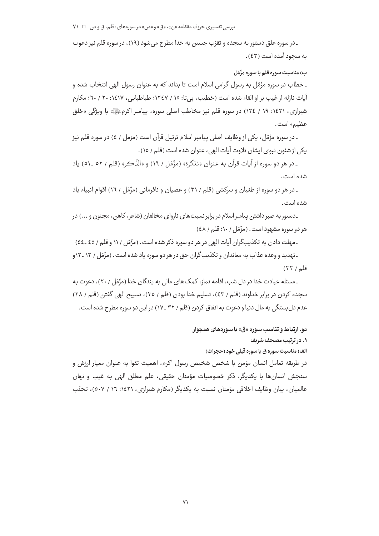۔در سوره علق دستور به سجده و تقرّب جستن به خدا مطرح میشود (١٩)، در سوره قلم نیز دعوت به سجود آمده است (٤٣).

#### ب) مناسبت سوره قلم با سوره مزّمّل

ـ خطاب در سوره مزّمّل به رسول گرامی اسلام است تا بداند که به عنوان رسول الهی انتخاب شده و آيات نازله از غيب بر او القاء شده است (خطيب، بي تا: ١٥ / ١٢٤٧؛ طباطبابي، ١٤١٧: ٢٠ / ٦٠؛ مكارم شیرازی، ۱٤٢۱: ۱۹ / ١٢٤) در سوره قلم نیز مخاطب اصلی سوره، پیامبر اکرمﷺ با ویژگی «خلق عظیم» است.

ـ در سوره مزّمّل، یکی از وظایف اصلی پیامبر اسلام ترتیل قرآن است (مزمل / ٤) در سوره قلم نیز یکی از شئون نبوی ایشان تلاوت آیات الهی، عنوان شده است (قلم / ١٥).

ـ در هر دو سوره از آيات قرآن به عنوان «تذكرة» (مزّمّل / ١٩) و «الذّكر» (قلم / ٥٢ ـ ٥١) ياد شده است .

ـ در هر دو سوره از طغیان و سرکشی (قلم / ۳۱) و عصیان و نافرمانی (مزّمّل / ۱۲) اقوام انبیاء یاد شده است .

۔دستور به صبر داشتن پیامبر اسلام در برابر نسبت های ناروای مخالفان (شاعر، کاهن، مجنون و ...) در هر دو سوره مشهود است. (مزّمّل / ۱۰؛ قلم / ٤٨)

۔مهلت دادن به تکذیبگران آیات الهی در هر دو سوره ذکر شده است. (مزّمّل ۱۱ و قلم / ٤٥ ـ٤٤)

ـ تهدید و وعده عذاب به معاندان و تکذیب گران حق در هر دو سوره یاد شده است. (مزّمّل / ١٣ ـ ١٢و قلم / ٣٣)

ـ مسئله عبادت خدا در دل شب، اقامه نماز، کمک های مالی به بندگان خدا (مزّمّل ۲۰۱)، دعوت به سجده کردن در برابر خداوند (قلم / ٤٣)، تسليم خدا بودن (قلم / ٣٥)، تسبيح الهي گفتن (قلم / ٢٨) عدم دل بستگی به مال دنیا و دعوت به انفاق کردن (قلم / ۳۲ ـ۱۷) در این دو سوره مطرح شده است .

#### دو. ارتباط و تناسب سوره «ق» با سورههای همجوار

### ١. در ترتيب مصحف شريف

الف) مناسبت سوره ق با سوره قبلی خود (حجرات)

در طريقه تعامل انسان مؤمن با شخص شخيص رسول اكرم، اهميت تقوا به عنوان معيار ارزش و سنجش انسان ها يا پکديگر، ذکر خصوصيات مؤمنان حقيقي، علم مطلق الهي به غيب و نهان عالمیان، بیان وظایف اخلاقی مؤمنان نسبت به یکدیگر (مکارم شیرازی، ۱۶۲۱، ۱۲ / ۵۰۷)، تجنّب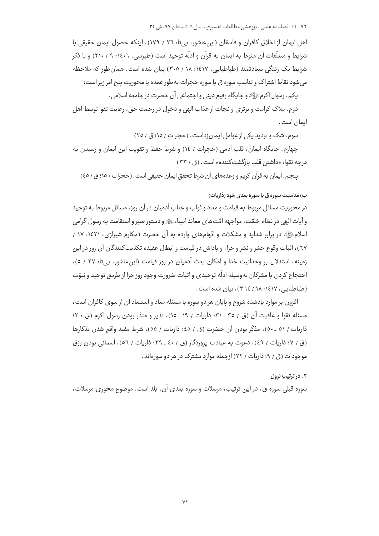اهل ایمان از اخلاق کافران و فاسقان (این عاشور، بی تا: ۲٦ / ۱۷۹)، اینکه حصول ایمان حقیقی با شرايط و متعلّقات آن منوط به ايمان به قرآن و ادلّه توحيد است (طبرسي، ١٤٠٦: ٩ / ٢١٠) و با ذكر شرایط یک زندگی سعادتمند (طباطبایی، ۱۶۱۷: ۱۸ / ۳۰۵) بیان شده است. همان طور که ملاحظه می شود نقاط اشتراک و تناسب سوره ق با سوره حجرات به طور عمده با محوریت پنج امر زیر است:

يكم. رسول اكرمﷺ و جايگاه رفيع ديني و اجتماعي آن حضرت در جامعه اسلامي.

دوم. ملاک کرامت و برتری و نجات از عذاب الهی و دخول در رحمت حق، رعایت تقوا توسط اهل ايمان است .

سوم. شک و تردید یکی از عوامل ایمانزداست. (حجرات / ۱۵؛ ق / ۲۵)

چهارم. جايگاه ايمان، قلب آدمي (حجرات / ١٤) و شرط حفظ و تقويت اين ايمان و رسيدن به د، حه تقوا، «داشتر. قلب بازگشت *ک*ننده» است. (ق / ۳۳)

ينجم. ايمان به قرآن كريم و وعدههاي آن شرط تحقق ايمان حقيقي است. (حجرات / ١٥؛ ق / ٤٥)

## ب) مناسبت سوره ق با سوره بعدی خود (ذاریات)

در محوریت مسائل مربوط به قیامت و معاد و ثواب و عقاب آدمیان در آن روز، مسائل مربوط به توحید و آيات الهي در نظام خلقت، مواجهه امّتهاي معاند انبياء ﷺ و دستور صبر و استقامت به رسول گرامي اسلامﷺ در برابر شداید و مشکلات و اتّهامهای وارده به آن حضرت (مکارم شیرازی، ۱۶۲۱: ۱۷ / ٦٧)، اثبات وقوع حشر و نشر و جزاء و ياداش در قيامت و ابطال عقيده تكذيب كنندگان آن روز در اين زمینه، استدلال بر وحدانیت خدا و امکان بعث آدمیان در روز قیامت (ابن عاشور، بیتا: ۲۷ / ٥)، احتجاج كردن با مشركان بهوسيله ادلّه توحيدي و اثبات ضرورت وجود روز جزا از طريق توحيد و نبوّت (طباطبایی، ۱٤١٧: ١٨ / ٣٦٤)، بيان شده است.

افزون بر موارد یادشده شروع و پایان هر دو سوره با مسئله معاد و استبعاد آن از سوی کافران است، مسئله تقوا و عاقبت آن (ق / ٣٥ ـ ٣١؛ ذاريات / ١٩ ـ ١٥)، نذير و منذر بودن رسول اكرم (ق / ٢؛ ذاريات / ٥١ ـ ٥٠)، مذكَّر بودن آن حضرت (ق / ٤٥؛ ذاريات / ٥٥)، شرط مفيد واقع شدن تذكارها (ق / ٧؛ ذاريات / ٤٩)، دعوت به عبادت پروردگار (ق / ٤٠ ـ ٣٩؛ ذاريات / ٥٦)، آسماني بودن رزق موجودات (ق / ۹؛ ذاریات / ۲۲) ازجمله موارد مشترک در هر دو سورهاند.

#### ۰۲ در ترتیب نزول

سوره قبلي سوره ق، در اين ترتيب، مرسلات و سوره بعدي آن، بلد است. موضوع محوري مرسلات،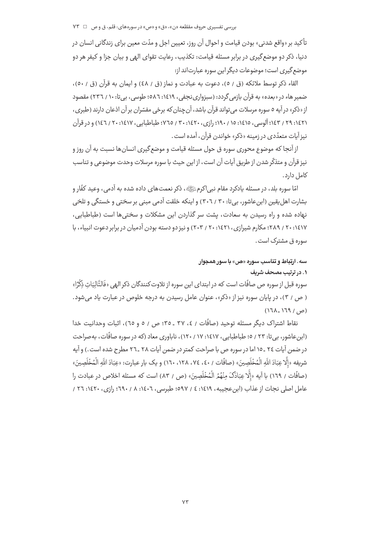تأكيد بر «واقع شدني» بودن قيامت و احوال آن روز، تعيين اجل و مدّت معين براي زندگاني انسان در دنیا، ذکر دو موضع گیری در برابر مسئله قیامت: تکذیب، رعایت تقوای الهی و بیان جزا و کیفر هر دو موضع گیری است؛ موضوعات دیگر این سوره عبارت[ند از:

القاء ذكر توسط ملائكه (ق / ٥)، دعوت به عبادت و نماز (ق / ٤٨) و ايمان به قرآن (ق / ٥٠)، ضمیر هاء در «بعده» به قرآن بازمی گردد: (سبزواری نجفی، ۱۶۱۹: ۵۸۲: طوسی، بی تا: ۱۰ / ۲۳۲) مقصود از «ذکر» در آیه ٥ سوره مرسلات می تواند قرآن باشد، آن چنان که برخی مفسّران بر آن اذعان دارند (طبری، ١٤٢١: ٢٩ / ١٤٣] آلوسي، ١٤١٥: ١٥ / ١٩٠؛ رازي، ٢٠١٤٢٠ / ٢٥ ، ٧٦٥؛ طباطبايي، ١٤١٧: ٢٠ / ١٤٦) و در قرآن نیز آبات متعدّدی در زمینه «ذکر» خواندن قرآن، آمده است .

از آنجا که موضوع محوری سوره ق حول مسئله قیامت و موضع گیری انسان ها نسبت به آن روز و نيز قرآن و متذكَّر شدن از طريق آيات آن است، از اين حيث با سوره مرسلات وحدت موضوعي و تناسب كامل دارد.

امّا سوره بلد، در مسئله یادکرد مقام نبی|کرمﷺ، ذکر نعمتهای داده شده به آدمی، وعید کفّار و بشارت اهل یقین (این عاشور، بی تا: ۳۰ / ۳۰٦ ) و اینکه خلقت آدمی مبنی بر سختی و خستگی و تلخی نهاده شده و راه رسیدن به سعادت، پشت سر گذاردن این مشکلات و سختی ها است (طباطبایی، ۱٤١٧: ٢٠ / ٢٨٩؛ مكارم شيرازي، ١٤٢١: ٢٠ / ٢٠٣) و نيز دو دسته بودن آدميان در برابر دعوت انبياء، با سوره ق مشترک است .

# سه. ارتباط و تناسب سوره «ص» با سور همجوار

# ١. در ترتيب مصحف شريف

سوره قبل از سوره ص صافّات است که در ابتدای این سوره از تلاوت *ک*نندگان ذکر الهی «فَالتَّالِيَات ذِكْرًا» ( ص / ٣)، در پایان سوره نیز از «ذکر»، عنوان عامل رسیدن به درجه خلوص در عبارت یاد می شود.  $(171.179/9)$ 

نقاط اشتراک دیگر مسئله توحید (صافّات / ٤، ٣٧ ـ ٣٥؛ ص / ٥ و ٦٥)، اثبات وحدانیت خدا (ابن عاشور، بي تا: ٢٣ / ٥؛ طباطبايي، ١٤١٧، ١٧، ١٢٠)، ناباوري معاد (كه در سوره صافَّات، به صراحت در ضمن آیات ٢٤ ـ ١٥ اما در سوره ص با صراحت کمتر در ضمن آیات ٢٨ ـ ٢٦ مطرح شده است.) و آیه شريفه «إلَّا عِبَادَ اللَّه الْمُخْلَصِينَ» (صافَّات / ٤٠، ١٢٤، ١٢٨، ١٦٠) و يك يار عبارت: «عِبَادَ اللَّه الْمُخْلَصينَ» (صافَّات / ١٦٩) با آيه «إِلَّا عِبَادَكَ منْهُمُ الْمُخْلَصِينَ» (ص / ٨٣) است كه مسئله اخلاص در عبادت را عامل اصلي نجات از عذاب (ابن عجيبه، ١٤١٩: ٤ / ٥٩٧؛ طبرسي، ١٤٠٦: ٨ / ٢٦٠؛ رازي، ١٤٢٠: ٢٦ /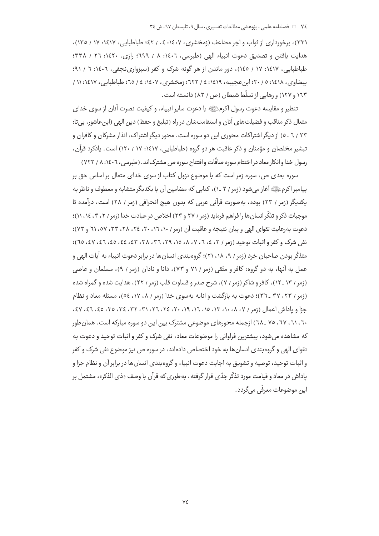(۳۳)، برخورداری از ثواب و اجر مضاعف (زمخشری، ۱٤٠٧: ٤، / ٤٢؛ طباطبایی، ۱٤١٧: ۱۷ / ۱۳٥)، هدایت یافتن و تصدیق دعوت انبیاء الهی (طبرسی، ١٤٠٦: ٨ / ٦٩٩؛ رازی، ١٤٢٠: ٢٦ / ٣٣٨؛ طباطبایی، ۱۶۱۷: ۱۷ / ۱٤٥)، دور ماندن از هر گونه شرک و کفر (سبزواری نجفی، ۱۶۰۲: ۲ / ۹۱؛ بيضاوي، ١٤١٨: ٥ / ٢٠؛ ابن عجيبه، ١٤١٩: ٤ / ٦٢٢؛ زمخشري، ١٤٠٧: ٤ / ٦٥؛ طباطيابي، ١٤١٧: ١١ / ۱۲۳ و ۱۲۷) و رهایی از تسلّط شیطان (ص / ۸۳) دانسته است .

تنظير و مقايسه دعوت رسول اكرمﷺ با دعوت ساير انبياء، و كيفيت نصرت آنان از سوى خداي متعال ذكر مناقب و فضيلت هاي آنان و استقامت شان در راه (تبليغ و حفظ) دين الهي (ابن عاشور، بي تا: ۲۳ / ٦ ـ ٥) از دیگر اشتراکات محوری این دو سوره است. محور دیگر اشتراک، انذار مشرکان و کافران و تبشیر مخلصان و مؤمنان و ذکر عاقبت هر دو گروه (طباطبایی، ۱۶۱۷: ۱۷ / ۱۲۰) است. یادکرد قرآن، رسول خدا و انکار معاد در اختتام سوره صافّات و افتتاح سوره ص مشترک|ند. (طبرسی، ۱٤٠٦، ۸ / ۷۲۳)

سوره بعدی ص، سوره زمر است که با موضوع نزول کتاب از سوی خدای متعال بر اساس حق بر پیامبر اکرمﷺ آغاز میشود (زمر / ۲ ـ۱)، کتابی که مضامین آن با یکدیگر متشابه و معطوف و ناظر به یکدیگر (زمر / ۲۳) بوده، بهصورت قرآنی عربی که بدون هیچ انحرافی (زمر / ۲۸) است، درآمده تا موجبات ذكر و تذكّر انسان ها را فراهم فرمايد (زمر / ٢٧ و ٢٣) اخلاص در عبادت خدا (زمر / ٢، ٣، ١٤، ١١)؛ دعوت به رعايت تقواي الهي و بيان نتيجه و عاقبت آن (زمر / ١٠، ٢٦، ٢٠، ٢٤، ٢٨، ٣٣، ٥٧، ٦١ و ٧٣)؛ نفي شرک و کفر و اثبات توحيد (زمر / ٣، ٤، ٦، ٧، ٨، ١٥، ٢٩، ٢٦، ٣٨، ٤٢، ٤٤، ٤٥، ٤٦، ٤٧، ٢٥)؛ متذکّر بودن صاحبان خرد (زمر / ٩، ١٨، ٢١)؛ گروهبندي انسانها در برابر دعوت انبياء به آيات الهي و عمل به آنها، به دو گروه: کافر و متّقی (زمر / ۷۱ و ۷۳)، دانا و نادان (زمر / ۹)، مسلمان و عاصی (زمر / ١٣ ـ ١٢)، كافر و شاكر (زمر / ٧)، شرح صدر و قساوت قلب (زمر / ٢٢)، هدايت شده و گمراه شده (زمر / ٢٣، ٣٧ ـ ٣٦)؛ دعوت به بازگشت و انابه بهسوى خدا (زمر / ٨، ١٧، ٥٤)، مسئله معاد و نظام جزا و یاداش اعمال (زمر / ۷، ۰۸، ۱۰، ۱۳، ۱۵، ۱۲، ۲۰، ۲۶، ۲۲، ۳۱، ۳۲، ۳۶، ۳۵، ٤٥، ۶۶، ۷۶، ۲۰، ۲۱، ۲۷، ۷۵ ـ ۲۸) ازجمله محورهای موضوعی مشترک بین این دو سوره مبارکه است. همان طور که مشاهده می شود، بیشترین فراوانی را موضوعات معاد، نفی شرک و کفر و اثبات توحید و دعوت به تقوای الهی و گروه بندی انسان ها به خود اختصاص دادهاند، در سوره ص نیز موضوع نفی شرک و کفر و اثبات توحید، توصیه و تشویق به اجابت دعوت انبیاء و گروهبندی انسان ها در برابر آن و نظام جزا و یاداش در معاد و قیامت مورد تذکّر جدّی قرار گرفته، بهطوری که قرآن با وصف «ذی الذکر»، مشتمل بر اين موضوعات معرفّى مي *گ*ردد.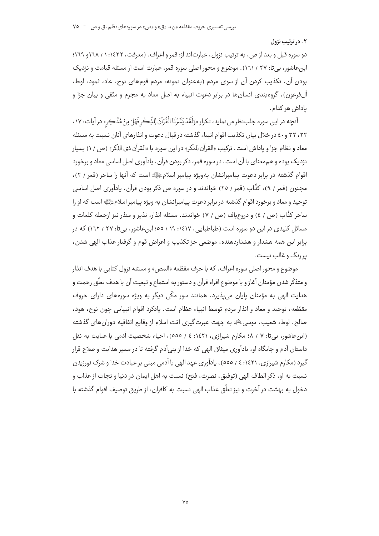#### ۰۲ در ترتیب نزول

دو سوره قبل و بعد از ص، به ترتیب نزول، عبارتاند از: قمر و اعراف. (معرفت، ۱٤٣٢: ۱ / ١٦٨و ١٦٩؛ ابن عاشور، بی تا: ۲۷ / ۱٦۱). موضوع و محور اصلی سوره قمر، عبارت است از مسئله قیامت و نزدیک بودن آن، تكذيب كردن آن از سوى مردم (بهعنوان نمونه: مردم قومهاى نوح، عاد، ثمود، لوط، آلفرعون)، گروهبندی انسانها در برابر دعوت انبیاء به اصل معاد به مجرم و متّقی و بیان جزا و ياداش هر كدام.

آنچه در اين سوره جلب نظر مي نمايد، تكرار «وَلَقَدْ يَسَّرْنَا الْقُرْآنَ لِلذِّكْرِ فَهَلْ مِنْ مُدَّكِر» در آيات: ١٧، ۲۲، ۳۲ و ٤٠ در خلال بيان تكذيب اقوام انبياء گذشته در قبال دعوت و انذارهاي آنان نسبت به مسئله معاد و نظام جزا و پاداش است . ترکیب «القرآن للذکر» در این سوره با «القرآن ذی الذکر» (ص / ۱) بسیار نزدیک بوده و هم معنای با آن است. در سوره قمر، ذکر بودن قرآن، یادآوری اصل اساسی معاد و برخورد اقوام گذشته در برابر دعوت پیامبرانشان بهویژه پیامبر اسلامﷺ است که آنها را ساحر (قمر / ۲)، مجنون (قمر / ٩)، کذَّاب (قمر / ٢٥) خواندند و در سوره ص ذکر بودن قرآن، یادآوری اصل اساسی توحید و معاد و برخورد اقوام گذشته در برابر دعوت پیامبرانشان به ویژه پیامبر اسلامﷺ است که او را ساحر كذَّاب (ص / ٤) و دروغباف (ص / ٧) خواندند. مسئله انذار، نذير و منذر نيز ازجمله كلمات و مسائل کلیدی در این دو سوره است (طباطبایی، ۱۶۱۷، ۱۹ / ۵۵؛ ابنِ عاشور، بی تا: ۲۷ / ۱۲۲) که در برابر اين همه هشدار و هشداردهنده، موضعي جز تكذيب و اعراض قوم و گرفتار عذاب الهي شدن، پررنگ و غالب نیست.

موضوع و محور اصلی سوره اعراف، که با حرف مقطّعه «المص» و مسئله نزول کتابی با هدف انذار و متذكّر شدن مؤمنان آغاز و با موضوع اقراء قرآن و دستور به استماع و تبعيت آن با هدف تعلّق رحمت و هدایت الهی به مؤمنان پایان می،پذیرد، همانند سور مکّی دیگر به ویژه سورههای دارای حروف مقطّعه، توحید و معاد و انذار مردم توسط انبیاء عظام است. یادکرد اقوام انبیایی چون نوح، هود، صالح، لوط، شعیب، موسیﷺ به جهت عبرتگیری امّت اسلام از وقایع اتفاقیه دوران های گذشته (ابن عاشور، بی تا: ۷ / ۰۸ مکارم شیرازی، ۱٤٢۱: ٤ / ٥٥٥)، احیاء شخصیت آدمی با عنایت به نقل داستان آدم و جایگاه او، یادآوری میثاق الهی که خدا از بنیآدم گرفته تا در مسیر هدایت و صلاح قرار گیرد (مکارم شیرازی، ۱٤٢۱: ٤ / ٥٥٥)، یادآوری عهد الهی با آدمی مبنی بر عبادت خدا و شرک نورزیدن نسبت به او، ذكر الطاف الهي (توفيق، نصرت، فتح) نسبت به اهل ايمان در دنيا و نجات از عذاب و دخول به بهشت در آخرت و نيز تعلّق عذاب الهي نسبت به كافران، از طريق توصيف اقوام گذشته با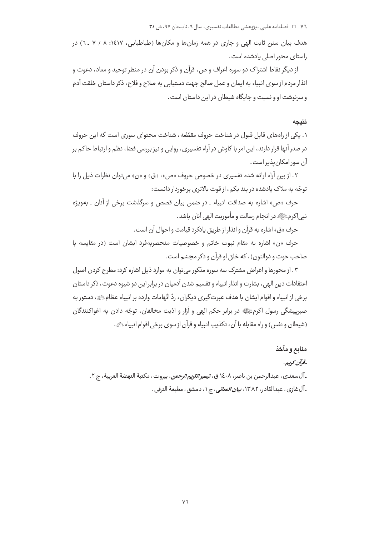هدف بیان سنن ثابت الهی و جاری در همه زمانها و مکانها (طباطبایی، ۱٤١٧: ٨ / ٧ ـ ٦) در راستای محور اصلی یادشده است.

از دیگر نقاط اشتراک دو سوره اعراف و ص، قرآن و ذکر بودن آن در منظر توحید و معاد، دعوت و انذار مردم از سوی انبیاء به ایمان و عمل صالح جهت دستیابی به صلاح و فلاح، ذکر داستان خلقت آدم و سرنوشت او و نسبت و جایگاه شیطان در این داستان است.

#### نتيجه

۱. یکی از راههای قابل قبول در شناخت حروف مقطّعه، شناخت محتوای سوری است که این حروف در صدر آنها قرار دارند، این امر با کاوش در آراء تفسیری، روایی و نیز بررسی فضا، نظم و ارتباط حاکم بر آن سور امكان يذير است.

۲. از بین آراء ارائه شده تفسیری در خصوص حروف «ص»، «ق» و «ن» میتوان نظرات ذیل را با توجّه به ملاک یادشده در بند یکم، از قوت بالاتری برخوردار دانست:

حرف «ص» اشاره به صداقت انبياء ـ در ضمن بيان قصص و سرگذشت برخي از آنان ـ بهويژه نبي اکرمﷺ در انجام رسالت و مأموريت الهي آنان باشد.

حرف «ق» اشاره به قرآن و انذار از طريق يادكرد قيامت و احوال آن است.

حرف «ن» اشاره به مقام نبوت خاتم و خصوصیات منحصربهفرد ایشان است (در مقایسه با صاحب حوت و ذوالنون)، که خلق او قرآن و ذکر مجسّم است.

۰۳ از محورها و اغراض مشترک سه سوره مذکور می توان به موارد ذیل اشاره کرد: مطرح کردن اصول اعتقادات دين الهي، بشارت و انذار انبياء و تقسيم شدن آدميان در برابر اين دو شيوه دعوت، ذكر داستان برخي از انبياء و اقوام ايشان با هدف عبرت گيري ديگران، ردّ اتّهامات وارده بر انبياء عظامﷺ، دستور به صبرييشگي رسول اکرمﷺ در برابر حکم الهي و آزار و اذيت مخالفان، توجّه دادن به اغواکنندگان (شيطان و نفس) و راه مقابله با آن، تكذبت انبياء و قرآن از سوى برخى اقوام انبياء ﷺ.

## منابع و مآخذ

## قوآن كوبيين

ـ آلسعدي، عبدالرحمن بن ناصر، ١٤٠٨ ق، *تيسير الكريم الرحمن*، بيروت، مكتبة النهضة العربية، چ ٢. ـ آل غازي ، عبدالقادر ، ١٣٨٢، *بيان المعاني*، ج ١، دمشق ، مطبعة الترقي .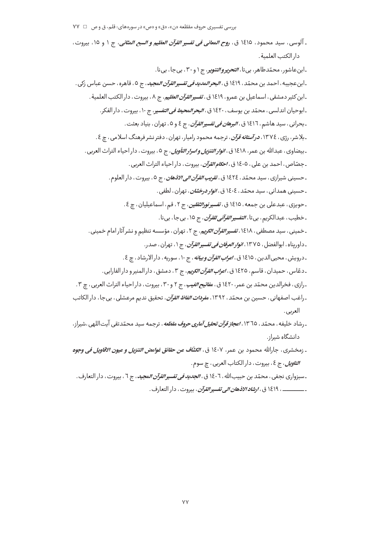ـ آلوسى ، سيد محمود ، ١٤١٥ ق ، ر*وح المعانى فى تفسير القرآن العظيم و السبع المثانى*، ج ١ و ١٥، بيروت ، دار الكتب العلمية.

-ابن عاشور، محمّدطاهر، بي تا، *التحرير والتنوي*ر، ج ۱ و ۳۰، بي جا، بي نا. ـ ابن عجيبه ، احمد بن محمّد ، ١٤١٩ ق ، *البحر المديد في تفسير القرآن المجيد ،* ج ٥ ، قاهره ، حسن عباس زكي . ـابن كثير دمشقى ، اسماعيل بن عمرو ، ١٤١٩ ق ، *تفسير القرآن العظيم*، ج ٨ ، بيروت ، دار الكتب العلمية . ـ ابوحيان اندلسي ، محمّد بن يوسف ، ١٤٢٠ ق *، البحر المحيط في التفسي*ر ، ج ١٠ ، بيروت ، دار الفكر . ـ بحراني ، سيد هاشم ، ١٤١٦ ق ، *البرهان في تفسير القرآن* ، ج ٤ و ٥ ، تهران ، بنياد بعثت . ـ بلاشر، رژی، ١٣٧٤، *درآستانه قرآن*، ترجمه محمود رامیار، تهران، دفتر نشر فرهنگ اسلامی، چ ٤. ـ بيضاوي ، عبدالله بن عمر ، ١٤١٨ ق ، *انوار التنزيل و اسرار التأويل* ، ج ٥ ، بيروت ، دار احياء التراث العربي . ـ جصّاص ، احمد بن علي ، ١٤٠٥ ق ، *اح<i>كام القرآن* ، بيروت ، دار احياء التراث العربي . ـ حسيني شيرازي ، سيد محمّد ، ١٤٢٤ ق ، *تقريب القرآن الي الاذهان* ، ج ٥ ، بيروت ، دار العلوم . ـ حسيني همداني ، سيد محمّد ، ١٤٠٤ ق ، *انوار درخشان* ، تهران ، لطفي . ۔حویزی، عبدعلی بن جمعه، ١٤١٥ ق، *تفسیرنورالثقلین*، ج ٢، قم، اسماعیلیان، چ ٤. ـ خطيب ، عبدالكريم ، بي تا ، *التفسير القرآني للقرآن* ، ج ١٥ ، بي جا ، بي نا . ـ خمینی ، سید مصطفی ، ۱۶۱۸، *تفسیر القرآن الکریم*، ج ۲ ، تهران ، مؤسسه تنظیم و نشر آثار امام خمینی . ـ داوريناه ، ابوالفضل ، ١٣٧٥، *انوار العرفان في تفسير القرآن* ، ج ١، تهران ، صدر . ـ درويش ، محيىالدين ، ١٤١٥ ق ، *اعراب القرآن و بيانه* ، ج ١٠، سوريه ، دار الارشاد ، چ ٤ . ـ دعّاس ، حميدان ، قاسم ، ١٤٢٥ ق ، *اعراب القرآن الكريم* ، ج ٣ ، دمشق ، دار المنير و دار الفارابي . ۔رازی، فخرالدین محمّد بن عمر، ۱٤۲۰ ق، م*فاتیح الغیب*، ج ۲ و ۳۰، بیروت، دار احیاء التراث العربی، چ ۳. ۔راغب اصفهانی، حسین بن محمّد، ۱۳۹۲، م*فردات الفاظ القرآن*، تحقیق ندیم مرعشلی، بی جا، دار الکاتب العربي.

- <sub>- ر</sub>شاد خلیفه ، محمّد ، ١٣٦٥، *اعجاز قرآن تحلیل آماری حروف مقطّعه* ، ترجمه سید محمّدتقی آیتاللهی ،شیراز، دانشگاه شىراز.
- ـ زمخشري ، جارالله محمود بن عمر ، ١٤٠٧ ق ، ا*لكشَّاف عن حقائق غوامض التنزيل و عيون الاقاويل في وجوه* ا*لتاويل*، ج ٤، بيروت، دار الكتاب العربي ، چ سوم.
- ـ سبزواري نجفي ، محمّد بن حبيبالله ، ١٤٠٦ ق ، *الجديد في تفسير القرآن ال*م*جيد* ، ج ٦ ، بيروت ، دار التعارف . ــــــــــــــــــ ، ١٤١٩ ق ، *ارشاد الاذهان الى تفسير القرآن* ، بيروت ، دار التعارف .